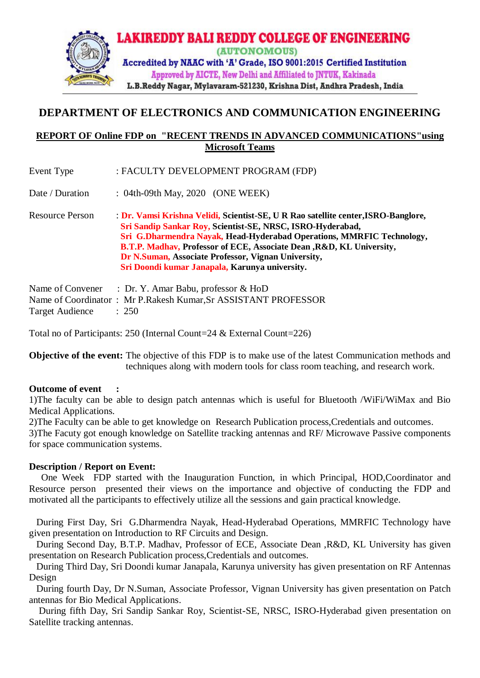

# **DEPARTMENT OF ELECTRONICS AND COMMUNICATION ENGINEERING**

## **REPORT OF Online FDP on "RECENT TRENDS IN ADVANCED COMMUNICATIONS"using Microsoft Teams**

Event Type : FACULTY DEVELOPMENT PROGRAM (FDP)

Date / Duration : 04th-09th May, 2020 (ONE WEEK)

Resource Person : **Dr. Vamsi Krishna Velidi, Scientist-SE, U R Rao satellite center,ISRO-Banglore, Sri Sandip Sankar Roy, Scientist-SE, NRSC, ISRO-Hyderabad, Sri G.Dharmendra Nayak, Head-Hyderabad Operations, MMRFIC Technology, B.T.P. Madhav, Professor of ECE, Associate Dean ,R&D, KL University, Dr N.Suman, Associate Professor, Vignan University, Sri Doondi kumar Janapala, Karunya university.**

Name of Convener : Dr. Y. Amar Babu, professor & HoD Name of Coordinator : Mr P.Rakesh Kumar,Sr ASSISTANT PROFESSOR Target Audience : 250

Total no of Participants: 250 (Internal Count=24 & External Count=226)

**Objective of the event:** The objective of this FDP is to make use of the latest Communication methods and techniques along with modern tools for class room teaching, and research work.

#### **Outcome of event :**

1)The faculty can be able to design patch antennas which is useful for Bluetooth /WiFi/WiMax and Bio Medical Applications.

2)The Faculty can be able to get knowledge on Research Publication process,Credentials and outcomes.

3)The Facuty got enough knowledge on Satellite tracking antennas and RF/ Microwave Passive components for space communication systems.

#### **Description / Report on Event:**

 One Week FDP started with the Inauguration Function, in which Principal, HOD,Coordinator and Resource person presented their views on the importance and objective of conducting the FDP and motivated all the participants to effectively utilize all the sessions and gain practical knowledge.

 During First Day, Sri G.Dharmendra Nayak, Head-Hyderabad Operations, MMRFIC Technology have given presentation on Introduction to RF Circuits and Design.

 During Second Day, B.T.P. Madhav, Professor of ECE, Associate Dean ,R&D, KL University has given presentation on Research Publication process,Credentials and outcomes.

 During Third Day, Sri Doondi kumar Janapala, Karunya university has given presentation on RF Antennas Design

 During fourth Day, Dr N.Suman, Associate Professor, Vignan University has given presentation on Patch antennas for Bio Medical Applications.

 During fifth Day, Sri Sandip Sankar Roy, Scientist-SE, NRSC, ISRO-Hyderabad given presentation on Satellite tracking antennas.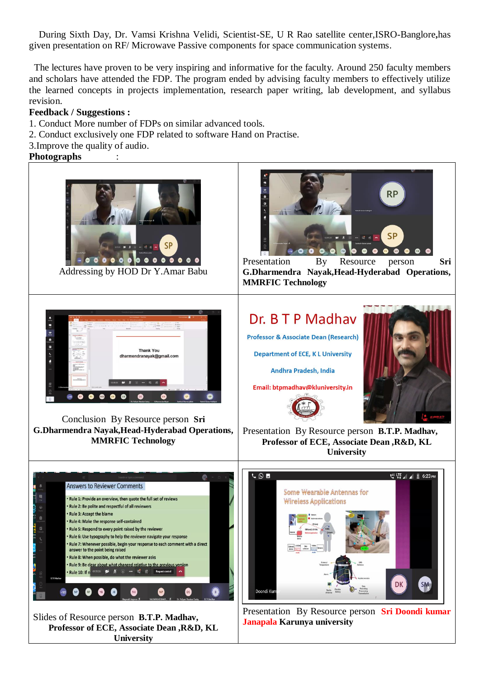During Sixth Day, Dr. Vamsi Krishna Velidi, Scientist-SE, U R Rao satellite center,ISRO-Banglore**,**has given presentation on RF/ Microwave Passive components for space communication systems.

 The lectures have proven to be very inspiring and informative for the faculty. Around 250 faculty members and scholars have attended the FDP. The program ended by advising faculty members to effectively utilize the learned concepts in projects implementation, research paper writing, lab development, and syllabus revision.

### **Feedback / Suggestions :**

- 1. Conduct More number of FDPs on similar advanced tools.
- 2. Conduct exclusively one FDP related to software Hand on Practise.
- 3.Improve the quality of audio.

#### **Photographs** :